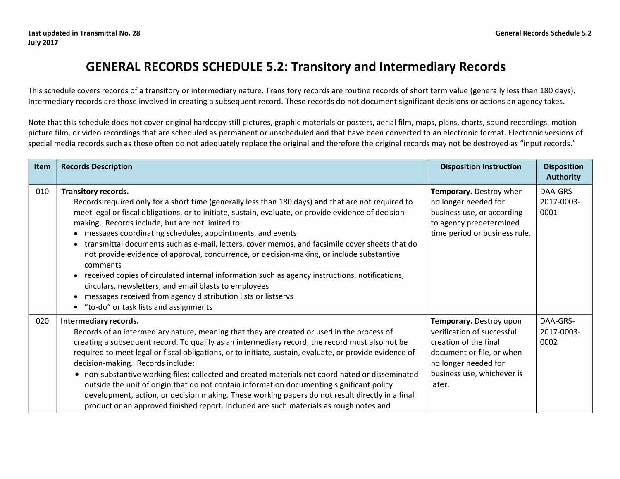## **GENERAL RECORDS SCHEDULE 5.2: Transitory and Intermediary Records**

This schedule covers records of a transitory or intermediary nature. Transitory records are routine records of short term value (generally less than 180 days). Intermediary records are those involved in creating a subsequent record. These records do not document significant decisions or actions an agency takes.

Note that this schedule does not cover original hardcopy still pictures, graphic materials or posters, aerial film, maps, plans, charts, sound recordings, motion picture film, or video recordings that are scheduled as permanent or unscheduled and that have been converted to an electronic format. Electronic versions of special media records such as these often do not adequately replace the original and therefore the original records may not be destroyed as "input records."

| Item | <b>Records Description</b>                                                                                                                                                                                                                                                                                                                                                                                                                                                                                                                                                                                                                                                                                                                                                                                                                   | <b>Disposition Instruction</b>                                                                                                                                              | <b>Disposition</b><br><b>Authority</b> |
|------|----------------------------------------------------------------------------------------------------------------------------------------------------------------------------------------------------------------------------------------------------------------------------------------------------------------------------------------------------------------------------------------------------------------------------------------------------------------------------------------------------------------------------------------------------------------------------------------------------------------------------------------------------------------------------------------------------------------------------------------------------------------------------------------------------------------------------------------------|-----------------------------------------------------------------------------------------------------------------------------------------------------------------------------|----------------------------------------|
| 010  | <b>Transitory records.</b><br>Records required only for a short time (generally less than 180 days) and that are not required to<br>meet legal or fiscal obligations, or to initiate, sustain, evaluate, or provide evidence of decision-<br>making. Records include, but are not limited to:<br>messages coordinating schedules, appointments, and events<br>transmittal documents such as e-mail, letters, cover memos, and facsimile cover sheets that do<br>not provide evidence of approval, concurrence, or decision-making, or include substantive<br>comments<br>received copies of circulated internal information such as agency instructions, notifications,<br>circulars, newsletters, and email blasts to employees<br>messages received from agency distribution lists or listservs<br>• "to-do" or task lists and assignments | Temporary. Destroy when<br>no longer needed for<br>business use, or according<br>to agency predetermined<br>time period or business rule.                                   | DAA-GRS-<br>2017-0003-<br>0001         |
| 020  | Intermediary records.<br>Records of an intermediary nature, meaning that they are created or used in the process of<br>creating a subsequent record. To qualify as an intermediary record, the record must also not be<br>required to meet legal or fiscal obligations, or to initiate, sustain, evaluate, or provide evidence of<br>decision-making. Records include:<br>• non-substantive working files: collected and created materials not coordinated or disseminated<br>outside the unit of origin that do not contain information documenting significant policy<br>development, action, or decision making. These working papers do not result directly in a final<br>product or an approved finished report. Included are such materials as rough notes and                                                                         | Temporary. Destroy upon<br>verification of successful<br>creation of the final<br>document or file, or when<br>no longer needed for<br>business use, whichever is<br>later. | DAA-GRS-<br>2017-0003-<br>0002         |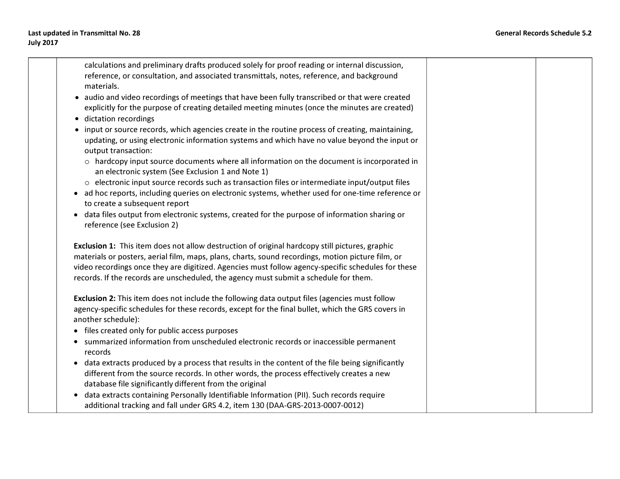**calculations and preliminary drafts produced solely for proof reading or internal discussion, reference, or consultation, and associated transmittals, notes, reference, and background materials. • audio and video recordings of meetings that have been fully transcribed or that were created explicitly for the purpose of creating detailed meeting minutes (once the minutes are created)** 

- **dictation recordings**
- **input or source records, which agencies create in the routine process of creating, maintaining, updating, or using electronic information systems and which have no value beyond the input or output transaction:** 
	- **o hardcopy input source documents where all information on the document is incorporated in an electronic system (See Exclusion 1 and Note 1)**
	- **o electronic input source records such as transaction files or intermediate input/output files**
- **ad hoc reports, including queries on electronic systems, whether used for one-time reference or to create a subsequent report**
- **data files output from electronic systems, created for the purpose of information sharing or reference (see Exclusion 2)**

**Exclusion 1: This item does not allow destruction of original hardcopy still pictures, graphic materials or posters, aerial film, maps, plans, charts, sound recordings, motion picture film, or video recordings once they are digitized. Agencies must follow agency-specific schedules for these records. If the records are unscheduled, the agency must submit a schedule for them.** 

**Exclusion 2: This item does not include the following data output files (agencies must follow agency-specific schedules for these records, except for the final bullet, which the GRS covers in another schedule):** 

- **files created only for public access purposes**
- **summarized information from unscheduled electronic records or inaccessible permanent records**
- **data extracts produced by a process that results in the content of the file being significantly different from the source records. In other words, the process effectively creates a new database file significantly different from the original**
- **data extracts containing Personally Identifiable Information (PII). Such records require additional tracking and fall under GRS 4.2, item 130 (DAA-GRS-2013-0007-0012)**